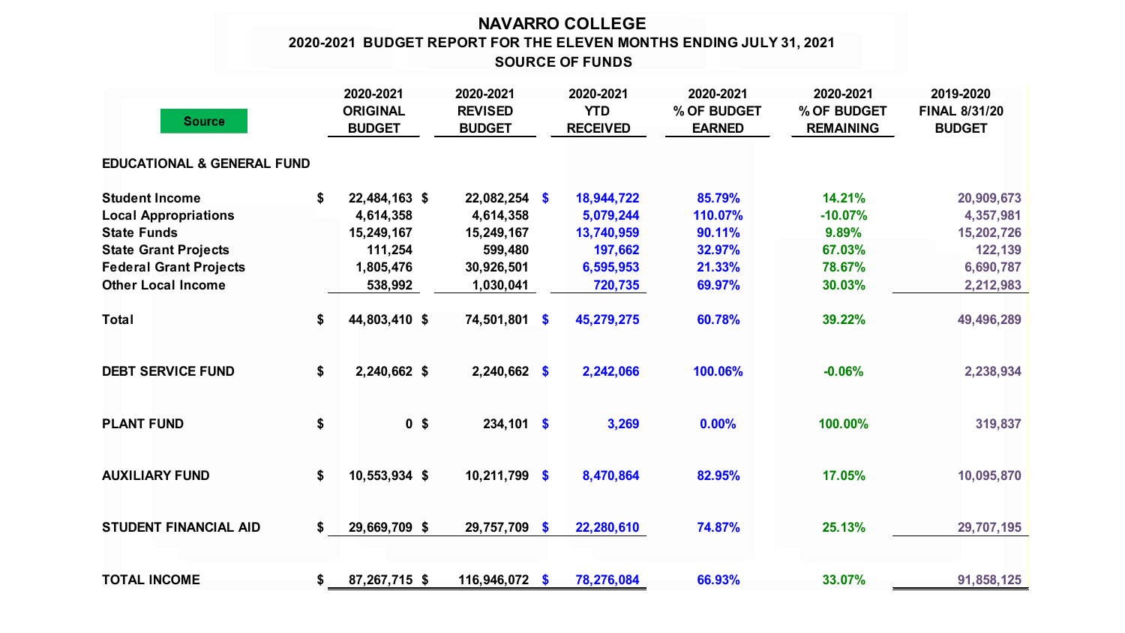## **NAVARRO COLLEGE SOURCE OF FUNDS 2020-2021 BUDGET REPORT FOR THE ELEVEN MONTHS ENDING JULY 31, 2021**

| <b>Source</b>                         | 2020-2021<br><b>ORIGINAL</b><br><b>BUDGET</b> | 2020-2021<br><b>REVISED</b><br><b>BUDGET</b> |               | 2020-2021<br><b>YTD</b><br><b>RECEIVED</b> | 2020-2021<br>% OF BUDGET<br><b>EARNED</b> | 2020-2021<br>% OF BUDGET<br><b>REMAINING</b> | 2019-2020<br><b>FINAL 8/31/20</b><br><b>BUDGET</b> |
|---------------------------------------|-----------------------------------------------|----------------------------------------------|---------------|--------------------------------------------|-------------------------------------------|----------------------------------------------|----------------------------------------------------|
| <b>EDUCATIONAL &amp; GENERAL FUND</b> |                                               |                                              |               |                                            |                                           |                                              |                                                    |
| <b>Student Income</b>                 | \$<br>22,484,163 \$                           | $22,082,254$ \$                              |               | 18,944,722                                 | 85.79%                                    | 14.21%                                       | 20,909,673                                         |
| <b>Local Appropriations</b>           | 4,614,358                                     | 4,614,358                                    |               | 5,079,244                                  | 110.07%                                   | $-10.07%$                                    | 4,357,981                                          |
| <b>State Funds</b>                    | 15,249,167                                    | 15,249,167                                   |               | 13,740,959                                 | 90.11%                                    | 9.89%                                        | 15,202,726                                         |
| <b>State Grant Projects</b>           | 111,254                                       | 599,480                                      |               | 197,662                                    | 32.97%                                    | 67.03%                                       | 122,139                                            |
| <b>Federal Grant Projects</b>         | 1,805,476                                     | 30,926,501                                   |               | 6,595,953                                  | 21.33%                                    | 78.67%                                       | 6,690,787                                          |
| <b>Other Local Income</b>             | 538,992                                       | 1,030,041                                    |               | 720,735                                    | 69.97%                                    | 30.03%                                       | 2,212,983                                          |
| <b>Total</b>                          | \$<br>44,803,410 \$                           | 74,501,801 \$                                |               | 45,279,275                                 | 60.78%                                    | 39.22%                                       | 49,496,289                                         |
| <b>DEBT SERVICE FUND</b>              | \$<br>2,240,662 \$                            | $2,240,662$ \$                               |               | 2,242,066                                  | 100.06%                                   | $-0.06%$                                     | 2,238,934                                          |
| <b>PLANT FUND</b>                     | \$<br>0 <sup>5</sup>                          | $234,101$ \$                                 |               | 3,269                                      | 0.00%                                     | 100.00%                                      | 319,837                                            |
| <b>AUXILIARY FUND</b>                 | \$<br>10,553,934 \$                           | 10,211,799                                   | $\mathbf{\$}$ | 8,470,864                                  | 82.95%                                    | 17.05%                                       | 10,095,870                                         |
| <b>STUDENT FINANCIAL AID</b>          | \$<br>29,669,709 \$                           | 29,757,709 \$                                |               | 22,280,610                                 | 74.87%                                    | 25.13%                                       | 29,707,195                                         |
| <b>TOTAL INCOME</b>                   | \$<br>87,267,715 \$                           | 116,946,072 \$                               |               | 78,276,084                                 | 66.93%                                    | 33.07%                                       | 91,858,125                                         |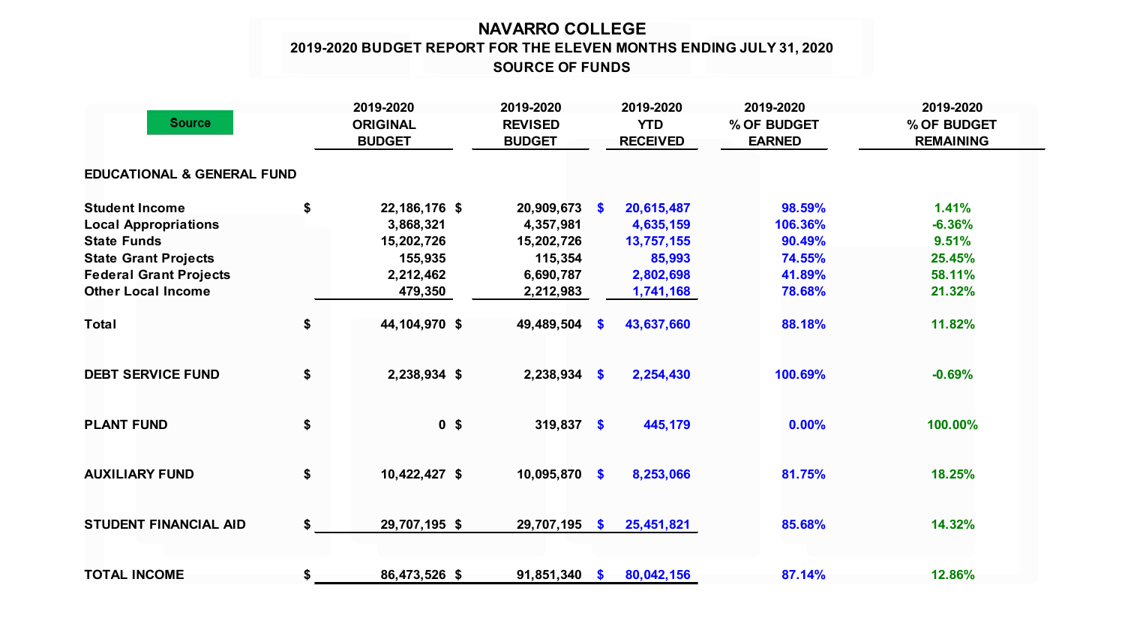## **NAVARRO COLLEGE 2019-2020 BUDGET REPORT FOR THE ELEVEN MONTHS ENDING JULY 31, 2020 SOURCE OF FUNDS**

| <b>Source</b>                         |    | 2019-2020<br><b>ORIGINAL</b><br><b>BUDGET</b> | 2019-2020<br><b>REVISED</b><br><b>BUDGET</b> |           | 2019-2020<br><b>YTD</b><br><b>RECEIVED</b> | 2019-2020<br>% OF BUDGET<br><b>EARNED</b> | 2019-2020<br>% OF BUDGET<br><b>REMAINING</b> |  |
|---------------------------------------|----|-----------------------------------------------|----------------------------------------------|-----------|--------------------------------------------|-------------------------------------------|----------------------------------------------|--|
| <b>EDUCATIONAL &amp; GENERAL FUND</b> |    |                                               |                                              |           |                                            |                                           |                                              |  |
| <b>Student Income</b>                 | \$ | 22,186,176 \$                                 | $20,909,673$ \$                              |           | 20,615,487                                 | 98.59%                                    | 1.41%                                        |  |
| <b>Local Appropriations</b>           |    | 3,868,321                                     | 4,357,981                                    |           | 4,635,159                                  | 106.36%                                   | $-6.36%$                                     |  |
| <b>State Funds</b>                    |    | 15,202,726                                    | 15,202,726                                   |           | 13,757,155                                 | 90.49%                                    | 9.51%                                        |  |
| <b>State Grant Projects</b>           |    | 155,935                                       | 115,354                                      |           | 85,993                                     | 74.55%                                    | 25.45%                                       |  |
| <b>Federal Grant Projects</b>         |    | 2,212,462                                     | 6,690,787                                    |           | 2,802,698                                  | 41.89%                                    | 58.11%                                       |  |
| <b>Other Local Income</b>             |    | 479,350                                       | 2,212,983                                    |           | 1,741,168                                  | 78.68%                                    | 21.32%                                       |  |
| <b>Total</b>                          | \$ | 44,104,970 \$                                 | 49,489,504                                   | <b>S</b>  | 43,637,660                                 | 88.18%                                    | 11.82%                                       |  |
| <b>DEBT SERVICE FUND</b>              | \$ | 2,238,934 \$                                  | $2,238,934$ \$                               |           | 2,254,430                                  | 100.69%                                   | $-0.69%$                                     |  |
| <b>PLANT FUND</b>                     | \$ | 0 <sup>5</sup>                                | 319,837 \$                                   |           | 445,179                                    | 0.00%                                     | 100.00%                                      |  |
| <b>AUXILIARY FUND</b>                 | \$ | 10,422,427 \$                                 | 10,095,870                                   | $\bullet$ | 8,253,066                                  | 81.75%                                    | 18.25%                                       |  |
| <b>STUDENT FINANCIAL AID</b>          | \$ | 29,707,195 \$                                 | 29,707,195 \$                                |           | 25,451,821                                 | 85.68%                                    | 14.32%                                       |  |
|                                       |    |                                               |                                              |           |                                            |                                           |                                              |  |
| <b>TOTAL INCOME</b>                   | \$ | 86,473,526 \$                                 | $91,851,340$ \$                              |           | 80,042,156                                 | 87.14%                                    | 12.86%                                       |  |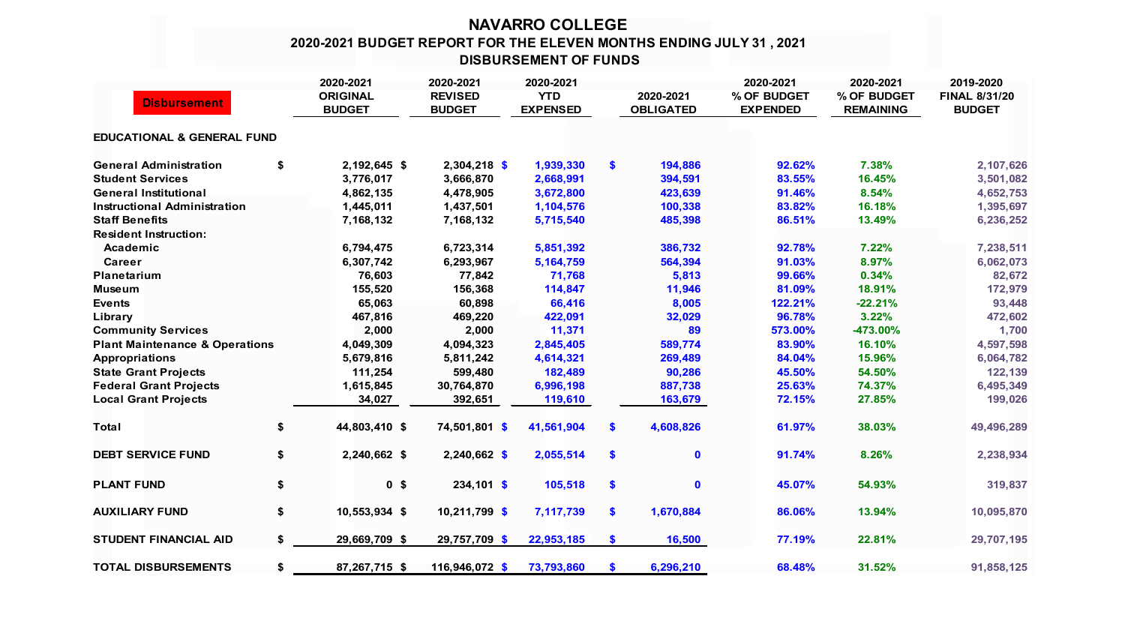## **NAVARRO COLLEGE 2020-2021 BUDGET REPORT FOR THE ELEVEN MONTHS ENDING JULY 31 , 2021 DISBURSEMENT OF FUNDS**

|                                           | 2020-2021                        | 2020-2021                       | 2020-2021                     |               |                               | 2020-2021                      | 2020-2021                       | 2019-2020                             |
|-------------------------------------------|----------------------------------|---------------------------------|-------------------------------|---------------|-------------------------------|--------------------------------|---------------------------------|---------------------------------------|
| <b>Disbursement</b>                       | <b>ORIGINAL</b><br><b>BUDGET</b> | <b>REVISED</b><br><b>BUDGET</b> | <b>YTD</b><br><b>EXPENSED</b> |               | 2020-2021<br><b>OBLIGATED</b> | % OF BUDGET<br><b>EXPENDED</b> | % OF BUDGET<br><b>REMAINING</b> | <b>FINAL 8/31/20</b><br><b>BUDGET</b> |
| <b>EDUCATIONAL &amp; GENERAL FUND</b>     |                                  |                                 |                               |               |                               |                                |                                 |                                       |
| <b>General Administration</b>             | \$<br>2,192,645 \$               | 2,304,218 \$                    | 1,939,330                     | \$            | 194,886                       | 92.62%                         | 7.38%                           | 2,107,626                             |
| <b>Student Services</b>                   | 3,776,017                        | 3,666,870                       | 2,668,991                     |               | 394,591                       | 83.55%                         | 16.45%                          | 3,501,082                             |
| <b>General Institutional</b>              | 4,862,135                        | 4,478,905                       | 3,672,800                     |               | 423,639                       | 91.46%                         | 8.54%                           | 4,652,753                             |
| <b>Instructional Administration</b>       | 1,445,011                        | 1,437,501                       | 1,104,576                     |               | 100,338                       | 83.82%                         | 16.18%                          | 1,395,697                             |
| <b>Staff Benefits</b>                     | 7,168,132                        | 7,168,132                       | 5,715,540                     |               | 485,398                       | 86.51%                         | 13.49%                          | 6,236,252                             |
| <b>Resident Instruction:</b>              |                                  |                                 |                               |               |                               |                                |                                 |                                       |
| Academic                                  | 6,794,475                        | 6,723,314                       | 5,851,392                     |               | 386,732                       | 92.78%                         | 7.22%                           | 7,238,511                             |
| Career                                    | 6,307,742                        | 6,293,967                       | 5, 164, 759                   |               | 564,394                       | 91.03%                         | 8.97%                           | 6,062,073                             |
| <b>Planetarium</b>                        | 76,603                           | 77,842                          | 71,768                        |               | 5,813                         | 99.66%                         | 0.34%                           | 82,672                                |
| <b>Museum</b>                             | 155,520                          | 156,368                         | 114,847                       |               | 11,946                        | 81.09%                         | 18.91%                          | 172,979                               |
| <b>Events</b>                             | 65,063                           | 60,898                          | 66,416                        |               | 8,005                         | 122.21%                        | $-22.21%$                       | 93,448                                |
| Library                                   | 467,816                          | 469,220                         | 422,091                       |               | 32,029                        | 96.78%                         | 3.22%                           | 472,602                               |
| <b>Community Services</b>                 | 2,000                            | 2,000                           | 11,371                        |               | 89                            | 573.00%                        | -473.00%                        | 1,700                                 |
| <b>Plant Maintenance &amp; Operations</b> | 4,049,309                        | 4,094,323                       | 2,845,405                     |               | 589,774                       | 83.90%                         | 16.10%                          | 4,597,598                             |
| <b>Appropriations</b>                     | 5,679,816                        | 5,811,242                       | 4,614,321                     |               | 269,489                       | 84.04%                         | 15.96%                          | 6,064,782                             |
| <b>State Grant Projects</b>               | 111,254                          | 599,480                         | 182,489                       |               | 90,286                        | 45.50%                         | 54.50%                          | 122,139                               |
| <b>Federal Grant Projects</b>             | 1,615,845                        | 30,764,870                      | 6,996,198                     |               | 887,738                       | 25.63%                         | 74.37%                          | 6,495,349                             |
| <b>Local Grant Projects</b>               | 34,027                           | 392,651                         | 119,610                       |               | 163,679                       | 72.15%                         | 27.85%                          | 199,026                               |
| <b>Total</b>                              | \$<br>44,803,410 \$              | 74,501,801 \$                   | 41,561,904                    | \$            | 4,608,826                     | 61.97%                         | 38.03%                          | 49,496,289                            |
| <b>DEBT SERVICE FUND</b>                  | \$<br>2,240,662 \$               | $2,240,662$ \$                  | 2,055,514                     | $\mathbf{\$}$ | $\mathbf 0$                   | 91.74%                         | 8.26%                           | 2,238,934                             |
| <b>PLANT FUND</b>                         | \$<br>0 <sup>5</sup>             | $234,101$ \$                    | 105,518                       | \$            | $\mathbf 0$                   | 45.07%                         | 54.93%                          | 319,837                               |
| <b>AUXILIARY FUND</b>                     | \$<br>10,553,934 \$              | 10,211,799 \$                   | 7,117,739                     | \$            | 1,670,884                     | 86.06%                         | 13.94%                          | 10,095,870                            |
| <b>STUDENT FINANCIAL AID</b>              | \$<br>29,669,709 \$              | 29,757,709 \$                   | 22,953,185                    | $\mathbf{\$}$ | 16,500                        | 77.19%                         | 22.81%                          | 29,707,195                            |
| <b>TOTAL DISBURSEMENTS</b>                | \$<br>87,267,715 \$              | 116,946,072 \$                  | 73,793,860                    | S             | 6,296,210                     | 68.48%                         | 31.52%                          | 91,858,125                            |